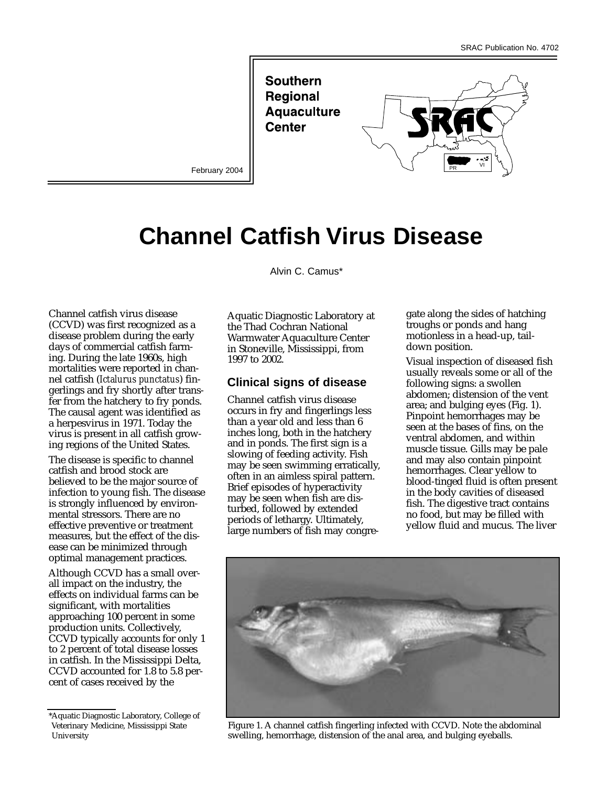**Southern Regional Aquaculture Center** 



February 2004

# **Channel Catfish Virus Disease**

Channel catfish virus disease (CCVD) was first recognized as a disease problem during the early days of commercial catfish farming. During the late 1960s, high mortalities were reported in channel catfish (*Ictalurus punctatus*) fingerlings and fry shortly after transfer from the hatchery to fry ponds. The causal agent was identified as a herpesvirus in 1971. Today the virus is present in all catfish growing regions of the United States.

The disease is specific to channel catfish and brood stock are believed to be the major source of infection to young fish. The disease is strongly influenced by environmental stressors. There are no effective preventive or treatment measures, but the effect of the disease can be minimized through optimal management practices.

Although CCVD has a small overall impact on the industry, the effects on individual farms can be significant, with mortalities approaching 100 percent in some production units. Collectively, CCVD typically accounts for only 1 to 2 percent of total disease losses in catfish. In the Mississippi Delta, CCVD accounted for 1.8 to 5.8 percent of cases received by the

Alvin C. Camus\*

Aquatic Diagnostic Laboratory at the Thad Cochran National Warmwater Aquaculture Center in Stoneville, Mississippi, from 1997 to 2002.

#### **Clinical signs of disease**

Channel catfish virus disease occurs in fry and fingerlings less than a year old and less than 6 inches long, both in the hatchery and in ponds. The first sign is a slowing of feeding activity. Fish may be seen swimming erratically, often in an aimless spiral pattern. Brief episodes of hyperactivity may be seen when fish are disturbed, followed by extended periods of lethargy. Ultimately, large numbers of fish may congregate along the sides of hatching troughs or ponds and hang motionless in a head-up, taildown position.

Visual inspection of diseased fish usually reveals some or all of the following signs: a swollen abdomen; distension of the vent area; and bulging eyes (Fig. 1). Pinpoint hemorrhages may be seen at the bases of fins, on the ventral abdomen, and within muscle tissue. Gills may be pale and may also contain pinpoint hemorrhages. Clear yellow to blood-tinged fluid is often present in the body cavities of diseased fish. The digestive tract contains no food, but may be filled with yellow fluid and mucus. The liver



Figure 1. A channel catfish fingerling infected with CCVD. Note the abdominal swelling, hemorrhage, distension of the anal area, and bulging eyeballs.

<sup>\*</sup>Aquatic Diagnostic Laboratory, College of Veterinary Medicine, Mississippi State University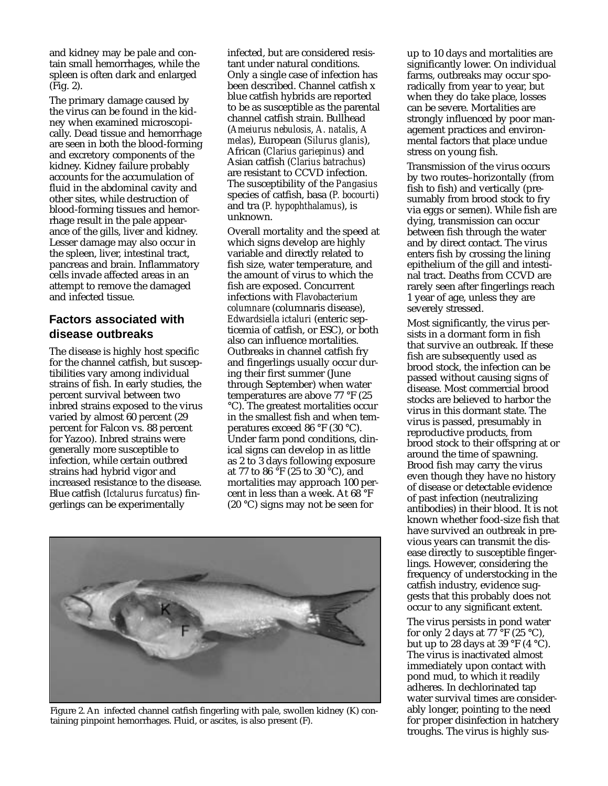and kidney may be pale and contain small hemorrhages, while the spleen is often dark and enlarged (Fig. 2).

The primary damage caused by the virus can be found in the kidney when examined microscopically. Dead tissue and hemorrhage are seen in both the blood-forming and excretory components of the kidney. Kidney failure probably accounts for the accumulation of fluid in the abdominal cavity and other sites, while destruction of blood-forming tissues and hemorrhage result in the pale appearance of the gills, liver and kidney. Lesser damage may also occur in the spleen, liver, intestinal tract, pancreas and brain. Inflammatory cells invade affected areas in an attempt to remove the damaged and infected tissue.

### **Factors associated with disease outbreaks**

The disease is highly host specific for the channel catfish, but susceptibilities vary among individual strains of fish. In early studies, the percent survival between two inbred strains exposed to the virus varied by almost 60 percent (29 percent for Falcon vs. 88 percent for Yazoo). Inbred strains were generally more susceptible to infection, while certain outbred strains had hybrid vigor and increased resistance to the disease. Blue catfish (*Ictalurus furcatus*) fingerlings can be experimentally

infected, but are considered resistant under natural conditions. Only a single case of infection has been described. Channel catfish x blue catfish hybrids are reported to be as susceptible as the parental channel catfish strain. Bullhead (*Ameiurus nebulosis*, *A. natalis*, *A melas*), European (*Silurus glanis*), African (*Clarius gariepinus*) and Asian catfish (*Clarius batrachus*) are resistant to CCVD infection. The susceptibility of the *Pangasius* species of catfish, basa (*P. bocourti*) and tra (*P. hypophthalamus*), is unknown.

Overall mortality and the speed at which signs develop are highly variable and directly related to fish size, water temperature, and the amount of virus to which the fish are exposed. Concurrent infections with *Flavobacterium columnare* (columnaris disease), *Edwardsiella ictaluri* (enteric septicemia of catfish, or ESC), or both also can influence mortalities. Outbreaks in channel catfish fry and fingerlings usually occur during their first summer (June through September) when water temperatures are above 77 °F (25 °C). The greatest mortalities occur in the smallest fish and when temperatures exceed 86 °F (30 °C). Under farm pond conditions, clinical signs can develop in as little as 2 to 3 days following exposure at 77 to 86 °F (25 to 30 °C), and mortalities may approach 100 percent in less than a week. At 68 °F (20 °C) signs may not be seen for



Figure 2. An infected channel catfish fingerling with pale, swollen kidney (K) containing pinpoint hemorrhages. Fluid, or ascites, is also present (F).

up to 10 days and mortalities are significantly lower. On individual farms, outbreaks may occur sporadically from year to year, but when they do take place, losses can be severe. Mortalities are strongly influenced by poor management practices and environmental factors that place undue stress on young fish.

Transmission of the virus occurs by two routes–horizontally (from fish to fish) and vertically (presumably from brood stock to fry via eggs or semen). While fish are dying, transmission can occur between fish through the water and by direct contact. The virus enters fish by crossing the lining epithelium of the gill and intestinal tract. Deaths from CCVD are rarely seen after fingerlings reach 1 year of age, unless they are severely stressed.

Most significantly, the virus persists in a dormant form in fish that survive an outbreak. If these fish are subsequently used as brood stock, the infection can be passed without causing signs of disease. Most commercial brood stocks are believed to harbor the virus in this dormant state. The virus is passed, presumably in reproductive products, from brood stock to their offspring at or around the time of spawning. Brood fish may carry the virus even though they have no history of disease or detectable evidence of past infection (neutralizing antibodies) in their blood. It is not known whether food-size fish that have survived an outbreak in previous years can transmit the disease directly to susceptible fingerlings. However, considering the frequency of understocking in the catfish industry, evidence suggests that this probably does not occur to any significant extent.

The virus persists in pond water for only 2 days at 77  $\mathrm{^{\circ}F}$  (25  $\mathrm{^{\circ}C}$ ), but up to 28 days at 39  $\degree$ F (4  $\degree$ C). The virus is inactivated almost immediately upon contact with pond mud, to which it readily adheres. In dechlorinated tap water survival times are considerably longer, pointing to the need for proper disinfection in hatchery troughs. The virus is highly sus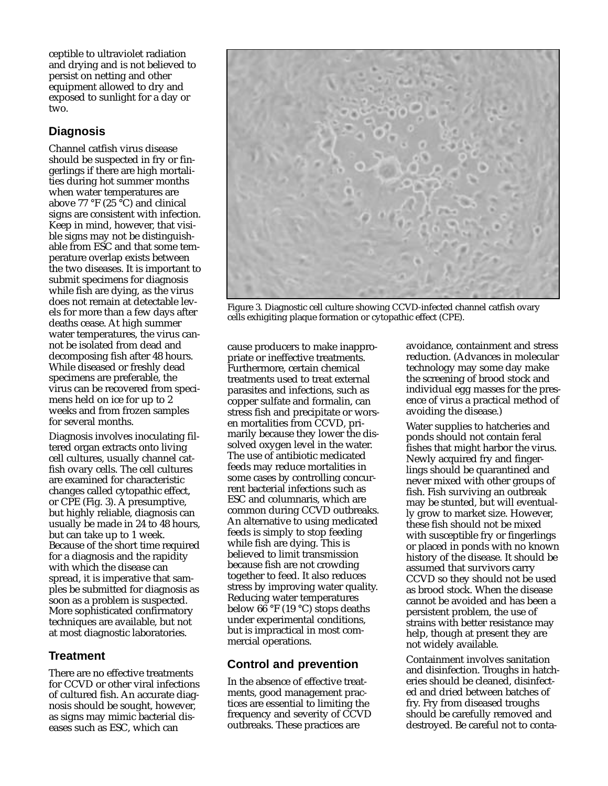ceptible to ultraviolet radiation and drying and is not believed to persist on netting and other equipment allowed to dry and exposed to sunlight for a day or two.

# **Diagnosis**

Channel catfish virus disease should be suspected in fry or fingerlings if there are high mortalities during hot summer months when water temperatures are above 77 °F (25 °C) and clinical signs are consistent with infection. Keep in mind, however, that visible signs may not be distinguishable from ESC and that some temperature overlap exists between the two diseases. It is important to submit specimens for diagnosis while fish are dying, as the virus does not remain at detectable levels for more than a few days after deaths cease. At high summer water temperatures, the virus cannot be isolated from dead and decomposing fish after 48 hours. While diseased or freshly dead specimens are preferable, the virus can be recovered from specimens held on ice for up to 2 weeks and from frozen samples for several months.

Diagnosis involves inoculating filtered organ extracts onto living cell cultures, usually channel catfish ovary cells. The cell cultures are examined for characteristic changes called cytopathic effect, or CPE (Fig. 3). A presumptive, but highly reliable, diagnosis can usually be made in 24 to 48 hours, but can take up to 1 week. Because of the short time required for a diagnosis and the rapidity with which the disease can spread, it is imperative that samples be submitted for diagnosis as soon as a problem is suspected. More sophisticated confirmatory techniques are available, but not at most diagnostic laboratories.

## **Treatment**

There are no effective treatments for CCVD or other viral infections of cultured fish. An accurate diagnosis should be sought, however, as signs may mimic bacterial diseases such as ESC, which can



Figure 3. Diagnostic cell culture showing CCVD-infected channel catfish ovary cells exhigiting plaque formation or cytopathic effect (CPE).

cause producers to make inappropriate or ineffective treatments. Furthermore, certain chemical treatments used to treat external parasites and infections, such as copper sulfate and formalin, can stress fish and precipitate or worsen mortalities from CCVD, primarily because they lower the dissolved oxygen level in the water. The use of antibiotic medicated feeds may reduce mortalities in some cases by controlling concurrent bacterial infections such as ESC and columnaris, which are common during CCVD outbreaks. An alternative to using medicated feeds is simply to stop feeding while fish are dying. This is believed to limit transmission because fish are not crowding together to feed. It also reduces stress by improving water quality. Reducing water temperatures below  $66 \degree$ F (19  $\degree$ C) stops deaths under experimental conditions, but is impractical in most commercial operations.

## **Control and prevention**

In the absence of effective treatments, good management practices are essential to limiting the frequency and severity of CCVD outbreaks. These practices are

avoidance, containment and stress reduction. (Advances in molecular technology may some day make the screening of brood stock and individual egg masses for the presence of virus a practical method of avoiding the disease.)

Water supplies to hatcheries and ponds should not contain feral fishes that might harbor the virus. Newly acquired fry and fingerlings should be quarantined and never mixed with other groups of fish. Fish surviving an outbreak may be stunted, but will eventually grow to market size. However, these fish should not be mixed with susceptible fry or fingerlings or placed in ponds with no known history of the disease. It should be assumed that survivors carry CCVD so they should not be used as brood stock. When the disease cannot be avoided and has been a persistent problem, the use of strains with better resistance may help, though at present they are not widely available.

Containment involves sanitation and disinfection. Troughs in hatcheries should be cleaned, disinfected and dried between batches of fry. Fry from diseased troughs should be carefully removed and destroyed. Be careful not to conta